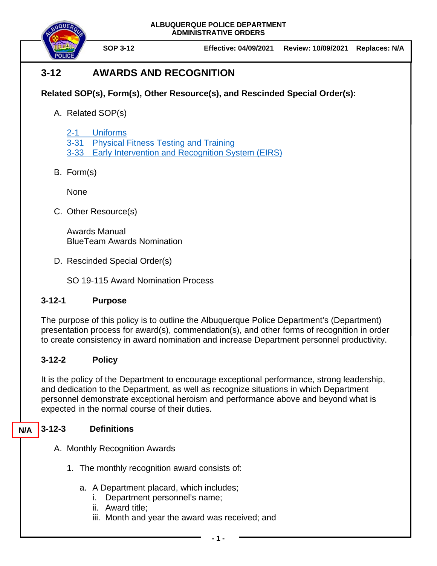



**SOP 3-12 Effective: 04/09/2021 Review: 10/09/2021 Replaces: N/A**

# **3-12 AWARDS AND RECOGNITION**

## **Related SOP(s), Form(s), Other Resource(s), and Rescinded Special Order(s):**

A. Related SOP(s)

2-1 [Uniforms](https://powerdms.com/docs/84) 3-31 [Physical Fitness Testing](https://powerdms.com/docs/224) and Training 3-33 [Early Intervention and Recognition System \(EIRS\)](https://powerdms.com/docs/190)

B. Form(s)

None

C. Other Resource(s)

Awards Manual BlueTeam Awards Nomination

D. Rescinded Special Order(s)

SO 19-115 Award Nomination Process

## **3-12-1 Purpose**

The purpose of this policy is to outline the Albuquerque Police Department's (Department) presentation process for award(s), commendation(s), and other forms of recognition in order to create consistency in award nomination and increase Department personnel productivity.

## **3-12-2 Policy**

It is the policy of the Department to encourage exceptional performance, strong leadership, and dedication to the Department, as well as recognize situations in which Department personnel demonstrate exceptional heroism and performance above and beyond what is expected in the normal course of their duties.

#### **3-12-3 Definitions N/A**

- A. Monthly Recognition Awards
	- 1. The monthly recognition award consists of:
		- a. A Department placard, which includes;
			- i. Department personnel's name;
			- ii. Award title;
			- iii. Month and year the award was received; and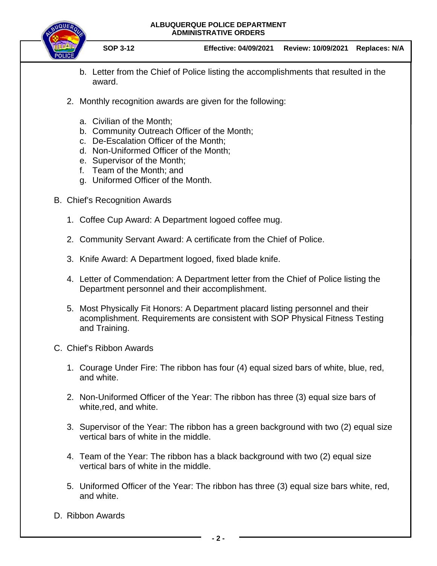### **ALBUQUERQUE POLICE DEPARTMENT ADMINISTRATIVE ORDERS**



**SOP 3-12 Effective: 04/09/2021 Review: 10/09/2021 Replaces: N/A**

- b. Letter from the Chief of Police listing the accomplishments that resulted in the award.
- 2. Monthly recognition awards are given for the following:
	- a. Civilian of the Month;
	- b. Community Outreach Officer of the Month;
	- c. De-Escalation Officer of the Month;
	- d. Non-Uniformed Officer of the Month;
	- e. Supervisor of the Month;
	- f. Team of the Month; and
	- g. Uniformed Officer of the Month.
- B. Chief's Recognition Awards
	- 1. Coffee Cup Award: A Department logoed coffee mug.
	- 2. Community Servant Award: A certificate from the Chief of Police.
	- 3. Knife Award: A Department logoed, fixed blade knife.
	- 4. Letter of Commendation: A Department letter from the Chief of Police listing the Department personnel and their accomplishment.
	- 5. Most Physically Fit Honors: A Department placard listing personnel and their acomplishment. Requirements are consistent with SOP Physical Fitness Testing and Training.
- C. Chief's Ribbon Awards
	- 1. Courage Under Fire: The ribbon has four (4) equal sized bars of white, blue, red, and white.
	- 2. Non-Uniformed Officer of the Year: The ribbon has three (3) equal size bars of white,red, and white.
	- 3. Supervisor of the Year: The ribbon has a green background with two (2) equal size vertical bars of white in the middle.
	- 4. Team of the Year: The ribbon has a black background with two (2) equal size vertical bars of white in the middle.
	- 5. Uniformed Officer of the Year: The ribbon has three (3) equal size bars white, red, and white.
- D. Ribbon Awards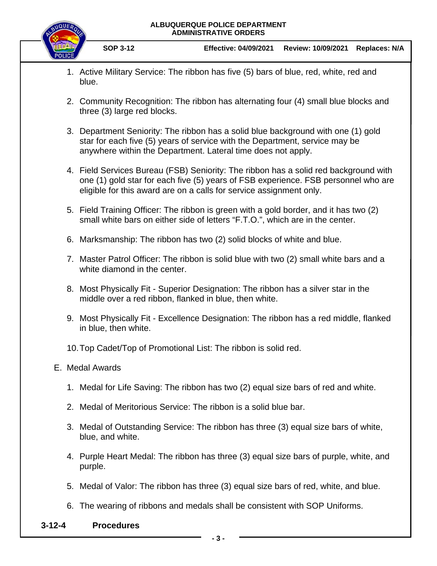### **ALBUQUERQUE POLICE DEPARTMENT ADMINISTRATIVE ORDERS**



**SOP 3-12 Effective: 04/09/2021 Review: 10/09/2021 Replaces: N/A**

- 1. Active Military Service: The ribbon has five (5) bars of blue, red, white, red and blue.
- 2. Community Recognition: The ribbon has alternating four (4) small blue blocks and three (3) large red blocks.
- 3. Department Seniority: The ribbon has a solid blue background with one (1) gold star for each five (5) years of service with the Department, service may be anywhere within the Department. Lateral time does not apply.
- 4. Field Services Bureau (FSB) Seniority: The ribbon has a solid red background with one (1) gold star for each five (5) years of FSB experience. FSB personnel who are eligible for this award are on a calls for service assignment only.
- 5. Field Training Officer: The ribbon is green with a gold border, and it has two (2) small white bars on either side of letters "F.T.O.", which are in the center.
- 6. Marksmanship: The ribbon has two (2) solid blocks of white and blue.
- 7. Master Patrol Officer: The ribbon is solid blue with two (2) small white bars and a white diamond in the center.
- 8. Most Physically Fit Superior Designation: The ribbon has a silver star in the middle over a red ribbon, flanked in blue, then white.
- 9. Most Physically Fit Excellence Designation: The ribbon has a red middle, flanked in blue, then white.
- 10.Top Cadet/Top of Promotional List: The ribbon is solid red.
- E. Medal Awards
	- 1. Medal for Life Saving: The ribbon has two (2) equal size bars of red and white.
	- 2. Medal of Meritorious Service: The ribbon is a solid blue bar.
	- 3. Medal of Outstanding Service: The ribbon has three (3) equal size bars of white, blue, and white.
	- 4. Purple Heart Medal: The ribbon has three (3) equal size bars of purple, white, and purple.
	- 5. Medal of Valor: The ribbon has three (3) equal size bars of red, white, and blue.
	- 6. The wearing of ribbons and medals shall be consistent with SOP Uniforms.
- **3-12-4 Procedures**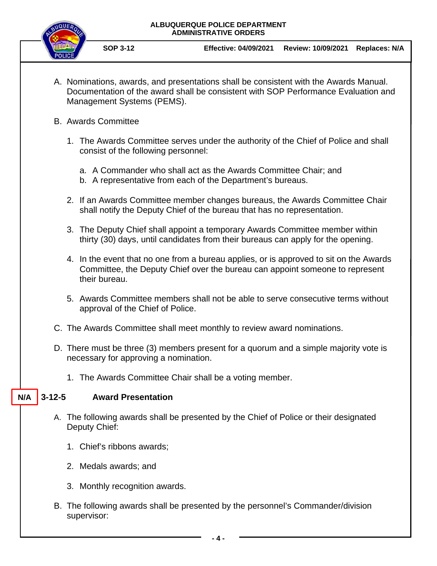### **ALBUQUERQUE POLICE DEPARTMENT ADMINISTRATIVE ORDERS**



**SOP 3-12 Effective: 04/09/2021 Review: 10/09/2021 Replaces: N/A**

- A. Nominations, awards, and presentations shall be consistent with the Awards Manual. Documentation of the award shall be consistent with SOP Performance Evaluation and Management Systems (PEMS).
- B. Awards Committee
	- 1. The Awards Committee serves under the authority of the Chief of Police and shall consist of the following personnel:
		- a. A Commander who shall act as the Awards Committee Chair; and
		- b. A representative from each of the Department's bureaus.
	- 2. If an Awards Committee member changes bureaus, the Awards Committee Chair shall notify the Deputy Chief of the bureau that has no representation.
	- 3. The Deputy Chief shall appoint a temporary Awards Committee member within thirty (30) days, until candidates from their bureaus can apply for the opening.
	- 4. In the event that no one from a bureau applies, or is approved to sit on the Awards Committee, the Deputy Chief over the bureau can appoint someone to represent their bureau.
	- 5. Awards Committee members shall not be able to serve consecutive terms without approval of the Chief of Police.
- C. The Awards Committee shall meet monthly to review award nominations.
- D. There must be three (3) members present for a quorum and a simple majority vote is necessary for approving a nomination.
	- 1. The Awards Committee Chair shall be a voting member.

#### **3-12-5 Award Presentation N/A**

- A. The following awards shall be presented by the Chief of Police or their designated Deputy Chief:
	- 1. Chief's ribbons awards;
	- 2. Medals awards; and
	- 3. Monthly recognition awards.
- B. The following awards shall be presented by the personnel's Commander/division supervisor: